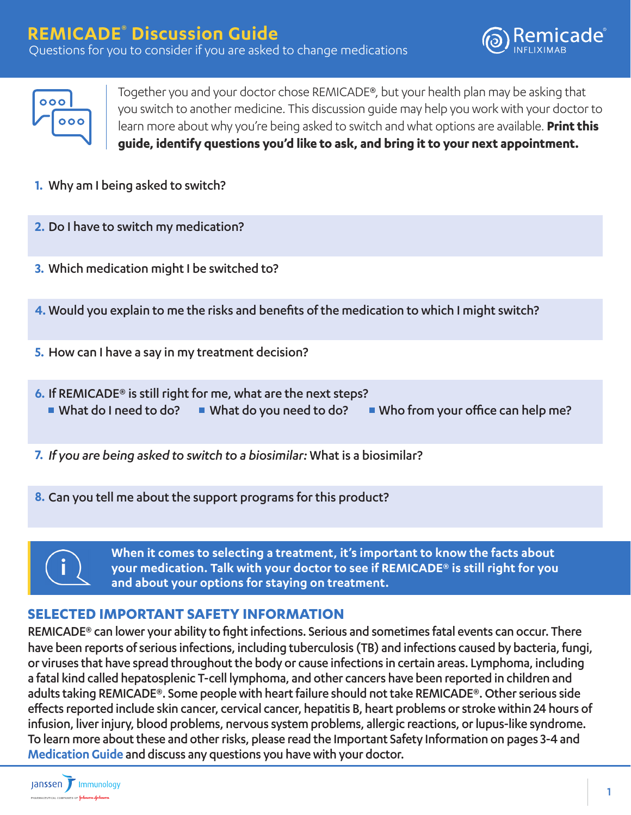



Together you and your doctor chose REMICADE®, but your health plan may be asking that you switch to another medicine. This discussion guide may help you work with your doctor to learn more about why you're being asked to switch and what options are available. **Print this guide, identify questions you'd like to ask, and bring it to your next appointment.**

Why am I being asked to switch? **1.**

| 2. Do I have to switch my medication?                                                                                                                                                |
|--------------------------------------------------------------------------------------------------------------------------------------------------------------------------------------|
| 3. Which medication might I be switched to?                                                                                                                                          |
| 4. Would you explain to me the risks and benefits of the medication to which I might switch?                                                                                         |
| 5. How can I have a say in my treatment decision?                                                                                                                                    |
| 6. If REMICADE <sup>®</sup> is still right for me, what are the next steps?<br>■ What do I need to do? ■ What do you need to do?<br>$\blacksquare$ Who from your office can help me? |
| 7. If you are being asked to switch to a biosimilar: What is a biosimilar?                                                                                                           |

Can you tell me about the support programs for this product? **8.**



**When it comes to selecting a treatment, it's important to know the facts about your medication. Talk with your doctor to see if REMICADE® is still right for you and about your options for staying on treatment.** 

# **SELECTED IMPORTANT SAFETY INFORMATION**

REMICADE® can lower your ability to fight infections. Serious and sometimes fatal events can occur. There have been reports of serious infections, including tuberculosis (TB) and infections caused by bacteria, fungi, or viruses that have spread throughout the body or cause infections in certain areas. Lymphoma, including a fatal kind called hepatosplenic T-cell lymphoma, and other cancers have been reported in children and adults taking REMICADE®. Some people with heart failure should not take REMICADE®. Other serious side effects reported include skin cancer, cervical cancer, hepatitis B, heart problems or stroke within 24 hours of infusion, liver injury, blood problems, nervous system problems, allergic reactions, or lupus-like syndrome. To learn more about these and other risks, please read the Important Safety Information on pages 3-4 and **[Medication Guide](http://www.janssenlabels.com/package-insert/product-patient-information/REMICADE-medication-guide.pdf)** and discuss any questions you have with your doctor.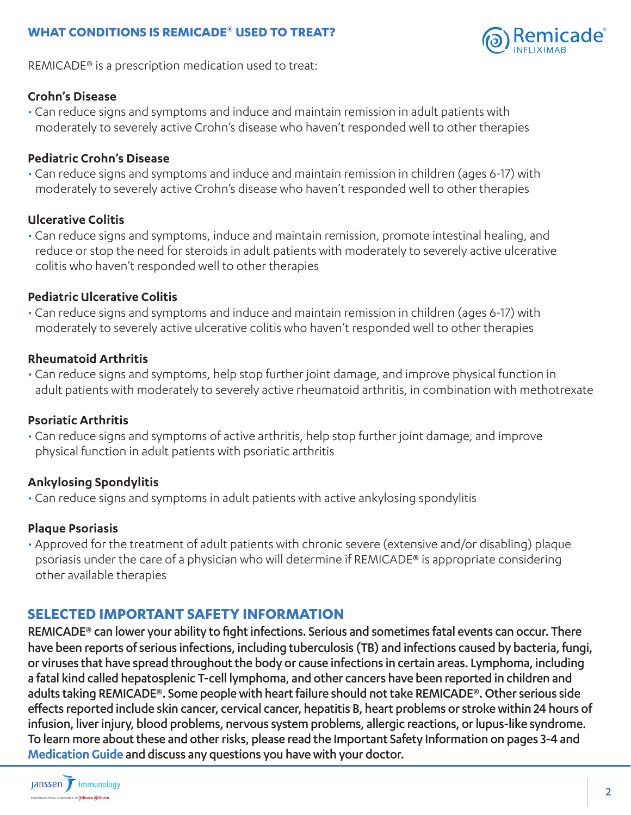# **WHAT CONDITIONS IS REMICADE® USED TO TREAT?**



REMICADE® is a prescription medication used to treat:

# **Crohn's Disease**

• Can reduce signs and symptoms and induce and maintain remission in adult patients with moderately to severely active Crohn's disease who haven't responded well to other therapies

## **Pediatric Crohn's Disease**

• Can reduce signs and symptoms and induce and maintain remission in children (ages 6-17) with moderately to severely active Crohn's disease who haven't responded well to other therapies

#### **Ulcerative Colitis**

• Can reduce signs and symptoms, induce and maintain remission, promote intestinal healing, and reduce or stop the need for steroids in adult patients with moderately to severely active ulcerative colitis who haven't responded well to other therapies

#### **Pediatric Ulcerative Colitis**

• Can reduce signs and symptoms and induce and maintain remission in children (ages 6-17) with moderately to severely active ulcerative colitis who haven't responded well to other therapies

### **Rheumatoid Arthritis**

• Can reduce signs and symptoms, help stop further joint damage, and improve physical function in adult patients with moderately to severely active rheumatoid arthritis, in combination with methotrexate

#### **Psoriatic Arthritis**

• Can reduce signs and symptoms of active arthritis, help stop further joint damage, and improve physical function in adult patients with psoriatic arthritis

# **Ankylosing Spondylitis**

• Can reduce signs and symptoms in adult patients with active ankylosing spondylitis

#### **Plaque Psoriasis**

• Approved for the treatment of adult patients with chronic severe (extensive and/or disabling) plaque psoriasis under the care of a physician who will determine if REMICADE® is appropriate considering other available therapies

# **SELECTED IMPORTANT SAFETY INFORMATION**

REMICADE® can lower your ability to fight infections. Serious and sometimes fatal events can occur. There have been reports of serious infections, including tuberculosis (TB) and infections caused by bacteria, fungi, or viruses that have spread throughout the body or cause infections in certain areas. Lymphoma, including a fatal kind called hepatosplenic T-cell lymphoma, and other cancers have been reported in children and adults taking REMICADE®. Some people with heart failure should not take REMICADE®. Other serious side effects reported include skin cancer, cervical cancer, hepatitis B, heart problems or stroke within 24 hours of infusion, liver injury, blood problems, nervous system problems, allergic reactions, or lupus-like syndrome. To learn more about these and other risks, please read the Important Safety Information on pages 3-4 and **[Medication Guide](http://www.janssenlabels.com/package-insert/product-patient-information/REMICADE-medication-guide.pdf)** and discuss any questions you have with your doctor.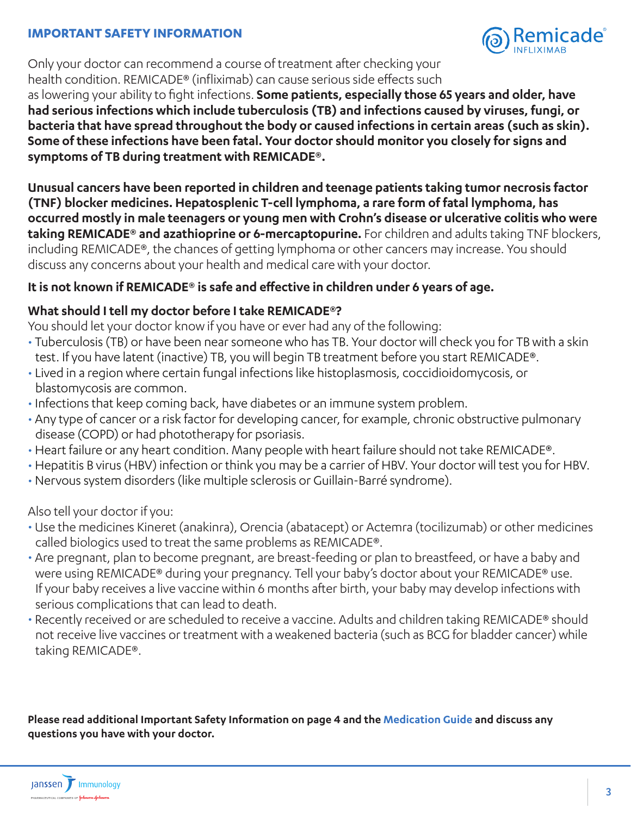### **IMPORTANT SAFETY INFORMATION**



Only your doctor can recommend a course of treatment after checking your health condition. REMICADE® (infliximab) can cause serious side effects such

as lowering your ability to fight infections. **Some patients, especially those 65 years and older, have had serious infections which include tuberculosis (TB) and infections caused by viruses, fungi, or bacteria that have spread throughout the body or caused infections in certain areas (such as skin). Some of these infections have been fatal. Your doctor should monitor you closely for signs and symptoms of TB during treatment with REMICADE®.**

**Unusual cancers have been reported in children and teenage patients taking tumor necrosis factor (TNF) blocker medicines. Hepatosplenic T-cell lymphoma, a rare form of fatal lymphoma, has occurred mostly in male teenagers or young men with Crohn's disease or ulcerative colitis who were taking REMICADE® and azathioprine or 6-mercaptopurine.** For children and adults taking TNF blockers, including REMICADE®, the chances of getting lymphoma or other cancers may increase. You should discuss any concerns about your health and medical care with your doctor.

# **It is not known if REMICADE® is safe and effective in children under 6 years of age.**

# **What should I tell my doctor before I take REMICADE®?**

You should let your doctor know if you have or ever had any of the following:

- Tuberculosis (TB) or have been near someone who has TB. Your doctor will check you for TB with a skin test. If you have latent (inactive) TB, you will begin TB treatment before you start REMICADE®.
- Lived in a region where certain fungal infections like histoplasmosis, coccidioidomycosis, or blastomycosis are common.
- Infections that keep coming back, have diabetes or an immune system problem.
- Any type of cancer or a risk factor for developing cancer, for example, chronic obstructive pulmonary disease (COPD) or had phototherapy for psoriasis.
- Heart failure or any heart condition. Many people with heart failure should not take REMICADE®.
- Hepatitis B virus (HBV) infection or think you may be a carrier of HBV. Your doctor will test you for HBV.
- Nervous system disorders (like multiple sclerosis or Guillain-Barré syndrome).

Also tell your doctor if you:

- Use the medicines Kineret (anakinra), Orencia (abatacept) or Actemra (tocilizumab) or other medicines called biologics used to treat the same problems as REMICADE®.
- Are pregnant, plan to become pregnant, are breast-feeding or plan to breastfeed, or have a baby and were using REMICADE® during your pregnancy. Tell your baby's doctor about your REMICADE® use. If your baby receives a live vaccine within 6 months after birth, your baby may develop infections with serious complications that can lead to death.
- Recently received or are scheduled to receive a vaccine. Adults and children taking REMICADE® should not receive live vaccines or treatment with a weakened bacteria (such as BCG for bladder cancer) while taking REMICADE®.

**Please read additional Important Safety Information on page 4 and the [Medication Guide](http://www.janssenlabels.com/package-insert/product-patient-information/REMICADE-medication-guide.pdf) and discuss any questions you have with your doctor.**